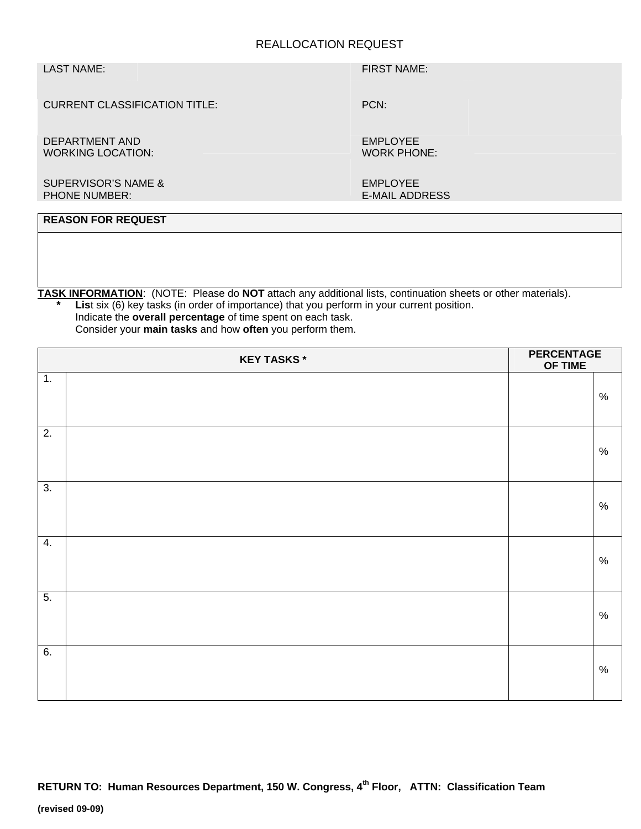## REALLOCATION REQUEST

## LAST NAME: FIRST NAME:

PCN:

CURRENT CLASSIFICATION TITLE:

DEPARTMENT AND WORKING LOCATION:  EMPLOYEE WORK PHONE:

SUPERVISOR'S NAME & PHONE NUMBER:

 EMPLOYEE E-MAIL ADDRESS

# **REASON FOR REQUEST**

**TASK INFORMATION**: (NOTE: Please do **NOT** attach any additional lists, continuation sheets or other materials).

**List** six (6) key tasks (in order of importance) that you perform in your current position. Indicate the **overall percentage** of time spent on each task. Consider your **main tasks** and how **often** you perform them.

| <b>KEY TASKS*</b> |  | <b>PERCENTAGE</b><br>OF TIME |      |
|-------------------|--|------------------------------|------|
| 1.                |  |                              | $\%$ |
| $\overline{2}$ .  |  |                              | $\%$ |
| $\overline{3}$ .  |  |                              | $\%$ |
| 4.                |  |                              | $\%$ |
| $\overline{5}$ .  |  |                              | $\%$ |
| 6.                |  |                              | $\%$ |